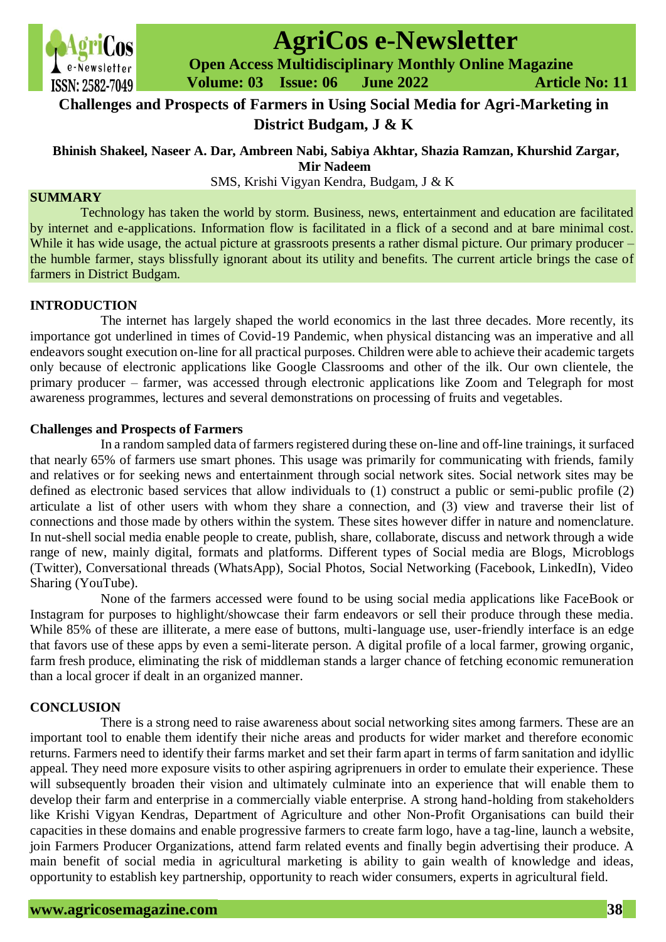

# **AgriCos e-Newsletter**

 **Open Access Multidisciplinary Monthly Online Magazine**

 **ISSN: 2582-7049 Volume: 03 Issue: 06 June 2022 Article No: 11** 

# **Challenges and Prospects of Farmers in Using Social Media for Agri-Marketing in District Budgam, J & K**

## **Bhinish Shakeel, Naseer A. Dar, Ambreen Nabi, Sabiya Akhtar, Shazia Ramzan, Khurshid Zargar, Mir Nadeem**

SMS, Krishi Vigyan Kendra, Budgam, J & K

#### **SUMMARY**

Technology has taken the world by storm. Business, news, entertainment and education are facilitated by internet and e-applications. Information flow is facilitated in a flick of a second and at bare minimal cost. While it has wide usage, the actual picture at grassroots presents a rather dismal picture. Our primary producer – the humble farmer, stays blissfully ignorant about its utility and benefits. The current article brings the case of farmers in District Budgam.

#### **INTRODUCTION**

The internet has largely shaped the world economics in the last three decades. More recently, its importance got underlined in times of Covid-19 Pandemic, when physical distancing was an imperative and all endeavors sought execution on-line for all practical purposes. Children were able to achieve their academic targets only because of electronic applications like Google Classrooms and other of the ilk. Our own clientele, the primary producer – farmer, was accessed through electronic applications like Zoom and Telegraph for most awareness programmes, lectures and several demonstrations on processing of fruits and vegetables.

#### **Challenges and Prospects of Farmers**

In a random sampled data of farmers registered during these on-line and off-line trainings, it surfaced that nearly 65% of farmers use smart phones. This usage was primarily for communicating with friends, family and relatives or for seeking news and entertainment through social network sites. Social network sites may be defined as electronic based services that allow individuals to (1) construct a public or semi-public profile (2) articulate a list of other users with whom they share a connection, and (3) view and traverse their list of connections and those made by others within the system. These sites however differ in nature and nomenclature. In nut-shell social media enable people to create, publish, share, collaborate, discuss and network through a wide range of new, mainly digital, formats and platforms. Different types of Social media are Blogs, Microblogs (Twitter), Conversational threads (WhatsApp), Social Photos, Social Networking (Facebook, LinkedIn), Video Sharing (YouTube).

None of the farmers accessed were found to be using social media applications like FaceBook or Instagram for purposes to highlight/showcase their farm endeavors or sell their produce through these media. While 85% of these are illiterate, a mere ease of buttons, multi-language use, user-friendly interface is an edge that favors use of these apps by even a semi-literate person. A digital profile of a local farmer, growing organic, farm fresh produce, eliminating the risk of middleman stands a larger chance of fetching economic remuneration than a local grocer if dealt in an organized manner.

### **CONCLUSION**

There is a strong need to raise awareness about social networking sites among farmers. These are an important tool to enable them identify their niche areas and products for wider market and therefore economic returns. Farmers need to identify their farms market and set their farm apart in terms of farm sanitation and idyllic appeal. They need more exposure visits to other aspiring agriprenuers in order to emulate their experience. These will subsequently broaden their vision and ultimately culminate into an experience that will enable them to develop their farm and enterprise in a commercially viable enterprise. A strong hand-holding from stakeholders like Krishi Vigyan Kendras, Department of Agriculture and other Non-Profit Organisations can build their capacities in these domains and enable progressive farmers to create farm logo, have a tag-line, launch a website, join Farmers Producer Organizations, attend farm related events and finally begin advertising their produce. A main benefit of social media in agricultural marketing is ability to gain wealth of knowledge and ideas, opportunity to establish key partnership, opportunity to reach wider consumers, experts in agricultural field.